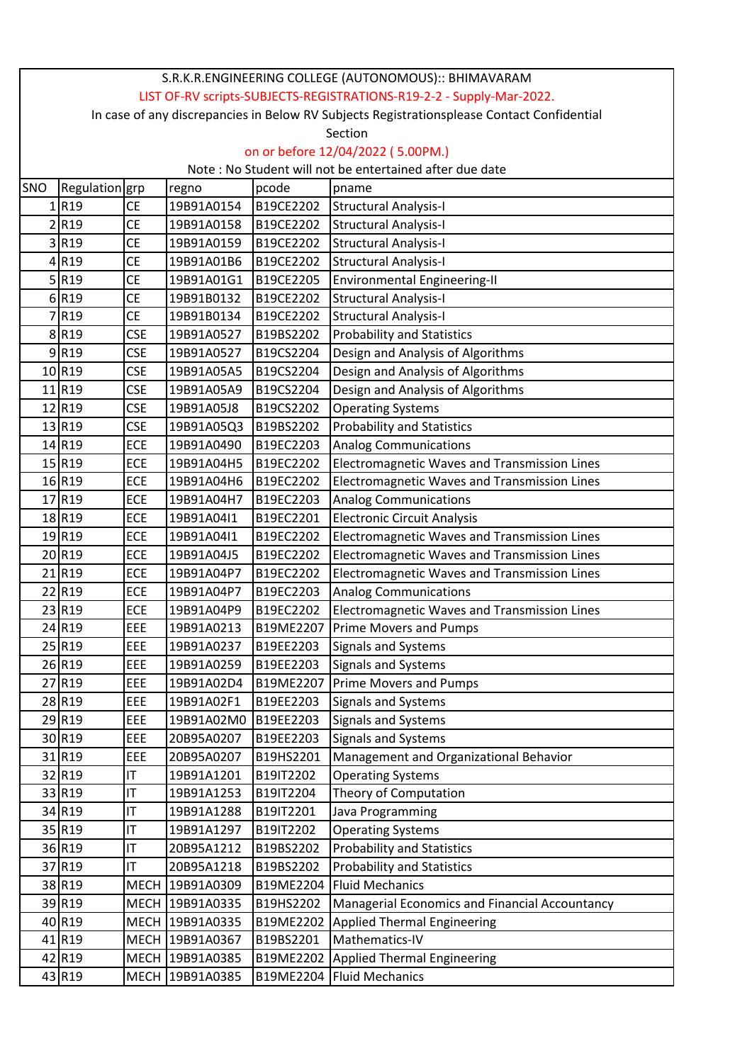| S.R.K.R.ENGINEERING COLLEGE (AUTONOMOUS):: BHIMAVARAM                                      |                     |                        |                 |           |                                                |  |  |  |  |  |
|--------------------------------------------------------------------------------------------|---------------------|------------------------|-----------------|-----------|------------------------------------------------|--|--|--|--|--|
| LIST OF-RV scripts-SUBJECTS-REGISTRATIONS-R19-2-2 - Supply-Mar-2022.                       |                     |                        |                 |           |                                                |  |  |  |  |  |
| In case of any discrepancies in Below RV Subjects Registrationsplease Contact Confidential |                     |                        |                 |           |                                                |  |  |  |  |  |
| Section                                                                                    |                     |                        |                 |           |                                                |  |  |  |  |  |
| on or before 12/04/2022 (5.00PM.)                                                          |                     |                        |                 |           |                                                |  |  |  |  |  |
| Note: No Student will not be entertained after due date                                    |                     |                        |                 |           |                                                |  |  |  |  |  |
| SNO                                                                                        | Regulation grp      |                        | regno           | pcode     | pname                                          |  |  |  |  |  |
|                                                                                            | R <sub>19</sub>     | CE                     | 19B91A0154      | B19CE2202 | <b>Structural Analysis-I</b>                   |  |  |  |  |  |
|                                                                                            | 2R19                | <b>CE</b>              | 19B91A0158      | B19CE2202 | <b>Structural Analysis-I</b>                   |  |  |  |  |  |
|                                                                                            | 3R19                | <b>CE</b>              | 19B91A0159      | B19CE2202 | <b>Structural Analysis-I</b>                   |  |  |  |  |  |
|                                                                                            | $4$ R <sub>19</sub> | <b>CE</b>              | 19B91A01B6      | B19CE2202 | <b>Structural Analysis-I</b>                   |  |  |  |  |  |
|                                                                                            | $5$ R <sub>19</sub> | <b>CE</b>              | 19B91A01G1      | B19CE2205 | <b>Environmental Engineering-II</b>            |  |  |  |  |  |
|                                                                                            | 6 R19               | <b>CE</b>              | 19B91B0132      | B19CE2202 | <b>Structural Analysis-I</b>                   |  |  |  |  |  |
|                                                                                            | 7R19                | <b>CE</b>              | 19B91B0134      | B19CE2202 | <b>Structural Analysis-I</b>                   |  |  |  |  |  |
|                                                                                            | 8 R19               | <b>CSE</b>             | 19B91A0527      | B19BS2202 | <b>Probability and Statistics</b>              |  |  |  |  |  |
|                                                                                            | 9R19                | <b>CSE</b>             | 19B91A0527      | B19CS2204 | Design and Analysis of Algorithms              |  |  |  |  |  |
|                                                                                            | 10 R19              | <b>CSE</b>             | 19B91A05A5      | B19CS2204 | Design and Analysis of Algorithms              |  |  |  |  |  |
|                                                                                            | 11 R19              | <b>CSE</b>             | 19B91A05A9      | B19CS2204 | Design and Analysis of Algorithms              |  |  |  |  |  |
|                                                                                            | 12 R19              | <b>CSE</b>             | 19B91A05J8      | B19CS2202 | <b>Operating Systems</b>                       |  |  |  |  |  |
|                                                                                            | 13 R19              | <b>CSE</b>             | 19B91A05Q3      | B19BS2202 | <b>Probability and Statistics</b>              |  |  |  |  |  |
|                                                                                            | 14 R19              | ECE                    | 19B91A0490      | B19EC2203 | <b>Analog Communications</b>                   |  |  |  |  |  |
|                                                                                            | 15 R19              | ECE                    | 19B91A04H5      | B19EC2202 | Electromagnetic Waves and Transmission Lines   |  |  |  |  |  |
|                                                                                            | 16 R19              | ECE                    | 19B91A04H6      | B19EC2202 | Electromagnetic Waves and Transmission Lines   |  |  |  |  |  |
|                                                                                            | 17 R19              | ECE                    | 19B91A04H7      | B19EC2203 | <b>Analog Communications</b>                   |  |  |  |  |  |
|                                                                                            | 18 R19              | ECE                    | 19B91A04I1      | B19EC2201 | <b>Electronic Circuit Analysis</b>             |  |  |  |  |  |
|                                                                                            | 19 R19              | ECE                    | 19B91A04I1      | B19EC2202 | Electromagnetic Waves and Transmission Lines   |  |  |  |  |  |
|                                                                                            | 20 R19              | ECE                    | 19B91A04J5      | B19EC2202 | Electromagnetic Waves and Transmission Lines   |  |  |  |  |  |
|                                                                                            | 21R19               | ECE                    | 19B91A04P7      | B19EC2202 | Electromagnetic Waves and Transmission Lines   |  |  |  |  |  |
|                                                                                            | 22 R19              | ECE                    | 19B91A04P7      | B19EC2203 | <b>Analog Communications</b>                   |  |  |  |  |  |
|                                                                                            | 23 R19              | ECE                    | 19B91A04P9      | B19EC2202 | Electromagnetic Waves and Transmission Lines   |  |  |  |  |  |
|                                                                                            | 24 R19              | EEE                    | 19B91A0213      | B19ME2207 | Prime Movers and Pumps                         |  |  |  |  |  |
|                                                                                            | 25 R19              | EEE                    | 19B91A0237      | B19EE2203 | <b>Signals and Systems</b>                     |  |  |  |  |  |
|                                                                                            | 26 R19              | EEE                    | 19B91A0259      | B19EE2203 | Signals and Systems                            |  |  |  |  |  |
|                                                                                            | 27 R19              | EEE                    | 19B91A02D4      | B19ME2207 | <b>Prime Movers and Pumps</b>                  |  |  |  |  |  |
|                                                                                            | 28 R19              | EEE                    | 19B91A02F1      | B19EE2203 | Signals and Systems                            |  |  |  |  |  |
|                                                                                            | 29 R19              | EEE                    | 19B91A02M0      | B19EE2203 | Signals and Systems                            |  |  |  |  |  |
|                                                                                            | 30 R19              | EEE                    | 20B95A0207      | B19EE2203 | <b>Signals and Systems</b>                     |  |  |  |  |  |
|                                                                                            | 31 R19              | EEE                    | 20B95A0207      | B19HS2201 | Management and Organizational Behavior         |  |  |  |  |  |
|                                                                                            | 32 R19              | IT                     | 19B91A1201      | B19IT2202 | <b>Operating Systems</b>                       |  |  |  |  |  |
|                                                                                            | 33 R19              | IT                     | 19B91A1253      | B19IT2204 | Theory of Computation                          |  |  |  |  |  |
|                                                                                            | 34 R19              | IT                     | 19B91A1288      | B19IT2201 | Java Programming                               |  |  |  |  |  |
|                                                                                            | 35 R19              | $\mathsf{I}\mathsf{T}$ | 19B91A1297      | B19IT2202 | <b>Operating Systems</b>                       |  |  |  |  |  |
|                                                                                            | 36 R19              | IT                     | 20B95A1212      | B19BS2202 | <b>Probability and Statistics</b>              |  |  |  |  |  |
|                                                                                            | 37 R19              | IT                     | 20B95A1218      | B19BS2202 | <b>Probability and Statistics</b>              |  |  |  |  |  |
|                                                                                            | 38 R19              |                        | MECH 19B91A0309 | B19ME2204 | <b>Fluid Mechanics</b>                         |  |  |  |  |  |
|                                                                                            | 39 R19              |                        | MECH 19B91A0335 | B19HS2202 | Managerial Economics and Financial Accountancy |  |  |  |  |  |
|                                                                                            | 40 R19              |                        | MECH 19B91A0335 | B19ME2202 | <b>Applied Thermal Engineering</b>             |  |  |  |  |  |
|                                                                                            | 41 R19              |                        | MECH 19B91A0367 | B19BS2201 | Mathematics-IV                                 |  |  |  |  |  |
|                                                                                            | 42 R19              |                        | MECH 19B91A0385 | B19ME2202 | <b>Applied Thermal Engineering</b>             |  |  |  |  |  |
|                                                                                            | 43 R19              |                        | MECH 19B91A0385 |           | B19ME2204   Fluid Mechanics                    |  |  |  |  |  |